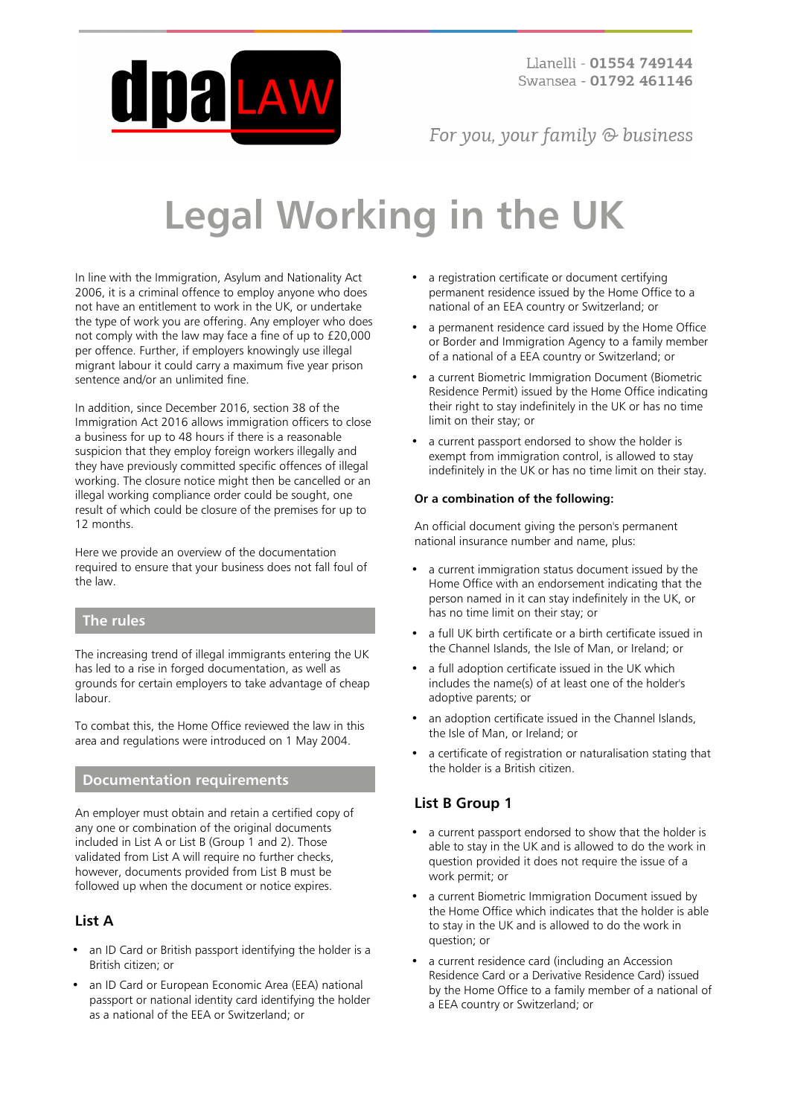

For you, your family  $\odot$  business

# **Legal Working in the UK**

In line with the Immigration, Asylum and Nationality Act 2006, it is a criminal offence to employ anyone who does not have an entitlement to work in the UK, or undertake the type of work you are offering. Any employer who does not comply with the law may face a fine of up to £20,000 per offence. Further, if employers knowingly use illegal migrant labour it could carry a maximum five year prison sentence and/or an unlimited fine.

In addition, since December 2016, section 38 of the Immigration Act 2016 allows immigration officers to close a business for up to 48 hours if there is a reasonable suspicion that they employ foreign workers illegally and they have previously committed specific offences of illegal working. The closure notice might then be cancelled or an illegal working compliance order could be sought, one result of which could be closure of the premises for up to 12 months.

Here we provide an overview of the documentation required to ensure that your business does not fall foul of the law.

## **The rules**

The increasing trend of illegal immigrants entering the UK has led to a rise in forged documentation, as well as grounds for certain employers to take advantage of cheap labour.

To combat this, the Home Office reviewed the law in this area and regulations were introduced on 1 May 2004.

### **Documentation requirements**

An employer must obtain and retain a certified copy of any one or combination of the original documents included in List A or List B (Group 1 and 2). Those validated from List A will require no further checks, however, documents provided from List B must be followed up when the document or notice expires.

# **List A**

- an ID Card or British passport identifying the holder is a British citizen; or
- an ID Card or European Economic Area (EEA) national passport or national identity card identifying the holder as a national of the EEA or Switzerland; or
- a registration certificate or document certifying permanent residence issued by the Home Office to a national of an EEA country or Switzerland; or
- a permanent residence card issued by the Home Office or Border and Immigration Agency to a family member of a national of a EEA country or Switzerland; or
- a current Biometric Immigration Document (Biometric Residence Permit) issued by the Home Office indicating their right to stay indefinitely in the UK or has no time limit on their stay; or
- a current passport endorsed to show the holder is exempt from immigration control, is allowed to stay indefinitely in the UK or has no time limit on their stay.

#### **Or a combination of the following:**

An official document giving the person's permanent national insurance number and name, plus:

- a current immigration status document issued by the Home Office with an endorsement indicating that the person named in it can stay indefinitely in the UK, or has no time limit on their stay; or
- a full UK birth certificate or a birth certificate issued in the Channel Islands, the Isle of Man, or Ireland; or
- a full adoption certificate issued in the UK which includes the name(s) of at least one of the holder's adoptive parents; or
- an adoption certificate issued in the Channel Islands, the Isle of Man, or Ireland; or
- a certificate of registration or naturalisation stating that the holder is a British citizen.

# **List B Group 1**

- a current passport endorsed to show that the holder is able to stay in the UK and is allowed to do the work in question provided it does not require the issue of a work permit; or
- a current Biometric Immigration Document issued by the Home Office which indicates that the holder is able to stay in the UK and is allowed to do the work in question; or
- a current residence card (including an Accession Residence Card or a Derivative Residence Card) issued by the Home Office to a family member of a national of a EEA country or Switzerland; or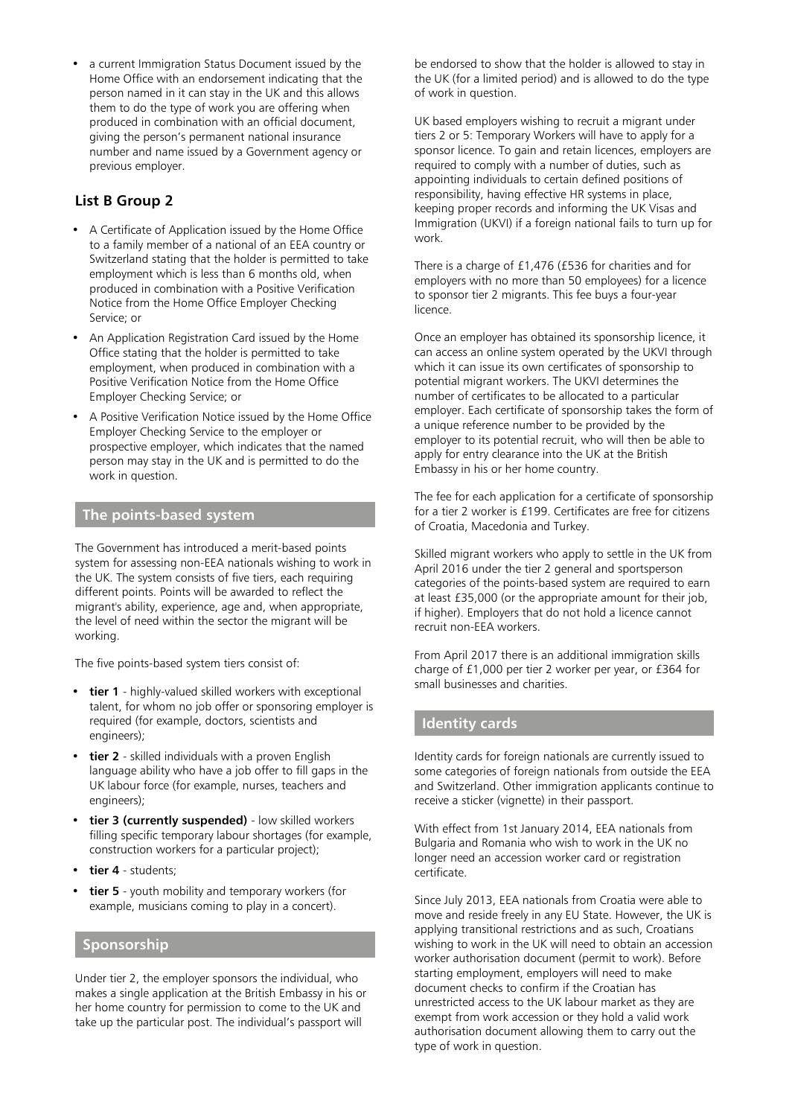• a current Immigration Status Document issued by the Home Office with an endorsement indicating that the person named in it can stay in the UK and this allows them to do the type of work you are offering when produced in combination with an official document, giving the person's permanent national insurance number and name issued by a Government agency or previous employer.

## **List B Group 2**

- A Certificate of Application issued by the Home Office to a family member of a national of an EEA country or Switzerland stating that the holder is permitted to take employment which is less than 6 months old, when produced in combination with a Positive Verification Notice from the Home Office Employer Checking Service; or
- An Application Registration Card issued by the Home Office stating that the holder is permitted to take employment, when produced in combination with a Positive Verification Notice from the Home Office Employer Checking Service; or
- A Positive Verification Notice issued by the Home Office Employer Checking Service to the employer or prospective employer, which indicates that the named person may stay in the UK and is permitted to do the work in question.

## **The points-based system**

The Government has introduced a merit-based points system for assessing non-EEA nationals wishing to work in the UK. The system consists of five tiers, each requiring different points. Points will be awarded to reflect the migrant's ability, experience, age and, when appropriate, the level of need within the sector the migrant will be working.

The five points-based system tiers consist of:

- **tier 1** highly-valued skilled workers with exceptional talent, for whom no job offer or sponsoring employer is required (for example, doctors, scientists and engineers);
- **tier 2** skilled individuals with a proven English language ability who have a job offer to fill gaps in the UK labour force (for example, nurses, teachers and engineers);
- **tier 3 (currently suspended)** low skilled workers filling specific temporary labour shortages (for example, construction workers for a particular project);
- **tier 4** students;
- **tier 5** youth mobility and temporary workers (for example, musicians coming to play in a concert).

#### **Sponsorship**

Under tier 2, the employer sponsors the individual, who makes a single application at the British Embassy in his or her home country for permission to come to the UK and take up the particular post. The individual's passport will

be endorsed to show that the holder is allowed to stay in the UK (for a limited period) and is allowed to do the type of work in question.

UK based employers wishing to recruit a migrant under tiers 2 or 5: Temporary Workers will have to apply for a sponsor licence. To gain and retain licences, employers are required to comply with a number of duties, such as appointing individuals to certain defined positions of responsibility, having effective HR systems in place, keeping proper records and informing the UK Visas and Immigration (UKVI) if a foreign national fails to turn up for work.

There is a charge of £1,476 (£536 for charities and for employers with no more than 50 employees) for a licence to sponsor tier 2 migrants. This fee buys a four-year licence.

Once an employer has obtained its sponsorship licence, it can access an online system operated by the UKVI through which it can issue its own certificates of sponsorship to potential migrant workers. The UKVI determines the number of certificates to be allocated to a particular employer. Each certificate of sponsorship takes the form of a unique reference number to be provided by the employer to its potential recruit, who will then be able to apply for entry clearance into the UK at the British Embassy in his or her home country.

The fee for each application for a certificate of sponsorship for a tier 2 worker is £199. Certificates are free for citizens of Croatia, Macedonia and Turkey.

Skilled migrant workers who apply to settle in the UK from April 2016 under the tier 2 general and sportsperson categories of the points-based system are required to earn at least £35,000 (or the appropriate amount for their job, if higher). Employers that do not hold a licence cannot recruit non-EEA workers.

From April 2017 there is an additional immigration skills charge of £1,000 per tier 2 worker per year, or £364 for small businesses and charities.

# **Identity cards**

Identity cards for foreign nationals are currently issued to some categories of foreign nationals from outside the EEA and Switzerland. Other immigration applicants continue to receive a sticker (vignette) in their passport.

With effect from 1st January 2014, EEA nationals from Bulgaria and Romania who wish to work in the UK no longer need an accession worker card or registration certificate.

Since July 2013, EEA nationals from Croatia were able to move and reside freely in any EU State. However, the UK is applying transitional restrictions and as such, Croatians wishing to work in the UK will need to obtain an accession worker authorisation document (permit to work). Before starting employment, employers will need to make document checks to confirm if the Croatian has unrestricted access to the UK labour market as they are exempt from work accession or they hold a valid work authorisation document allowing them to carry out the type of work in question.